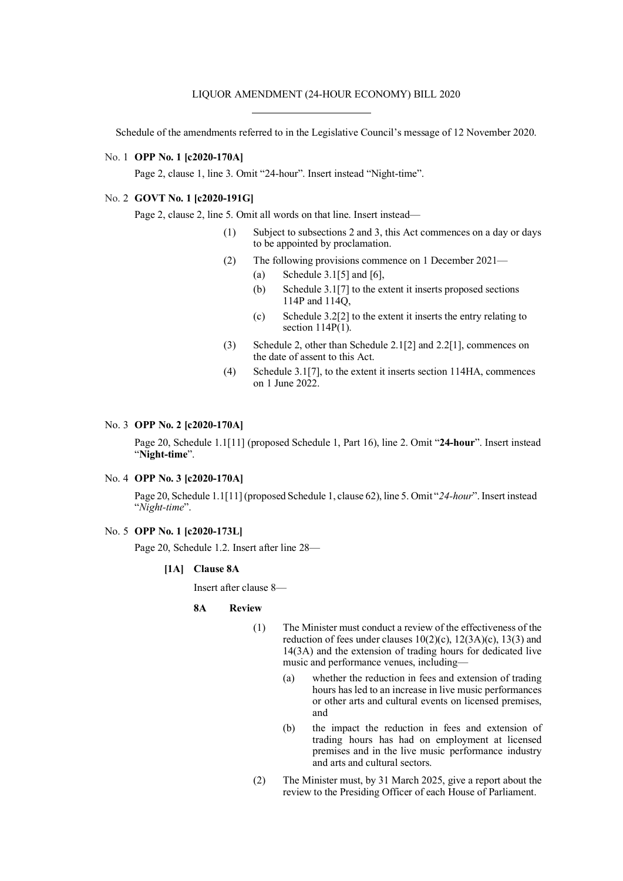# LIQUOR AMENDMENT (24-HOUR ECONOMY) BILL 2020

Schedule of the amendments referred to in the Legislative Council's message of 12 November 2020.

# No. 1 **OPP No. 1 [c2020-170A]**

Page 2, clause 1, line 3. Omit "24-hour". Insert instead "Night-time".

## No. 2 **GOVT No. 1 [c2020-191G]**

Page 2, clause 2, line 5. Omit all words on that line. Insert instead—

- (1) Subject to subsections 2 and 3, this Act commences on a day or days to be appointed by proclamation.
- (2) The following provisions commence on 1 December 2021—
	- (a) Schedule  $3.1[5]$  and  $[6]$ ,
	- (b) Schedule 3.1[7] to the extent it inserts proposed sections 114P and 114Q,
	- (c) Schedule  $3.2[2]$  to the extent it inserts the entry relating to section  $114P(1)$ .
- (3) Schedule 2, other than Schedule 2.1[2] and 2.2[1], commences on the date of assent to this Act.
- (4) Schedule 3.1[7], to the extent it inserts section 114HA, commences on 1 June 2022.

#### No. 3 **OPP No. 2 [c2020-170A]**

Page 20, Schedule 1.1[11] (proposed Schedule 1, Part 16), line 2. Omit "**24-hour**". Insert instead "**Night-time**".

# No. 4 **OPP No. 3 [c2020-170A]**

Page 20, Schedule 1.1[11] (proposed Schedule 1, clause 62), line 5. Omit "*24-hour*".Insert instead "*Night-time*".

# No. 5 **OPP No. 1 [c2020-173L]**

Page 20, Schedule 1.2. Insert after line 28—

**[1A] Clause 8A**

Insert after clause 8—

#### **8A Review**

- (1) The Minister must conduct a review of the effectiveness of the reduction of fees under clauses  $10(2)(c)$ ,  $12(3A)(c)$ ,  $13(3)$  and 14(3A) and the extension of trading hours for dedicated live music and performance venues, including—
	- (a) whether the reduction in fees and extension of trading hours has led to an increase in live music performances or other arts and cultural events on licensed premises, and
	- (b) the impact the reduction in fees and extension of trading hours has had on employment at licensed premises and in the live music performance industry and arts and cultural sectors.
- (2) The Minister must, by 31 March 2025, give a report about the review to the Presiding Officer of each House of Parliament.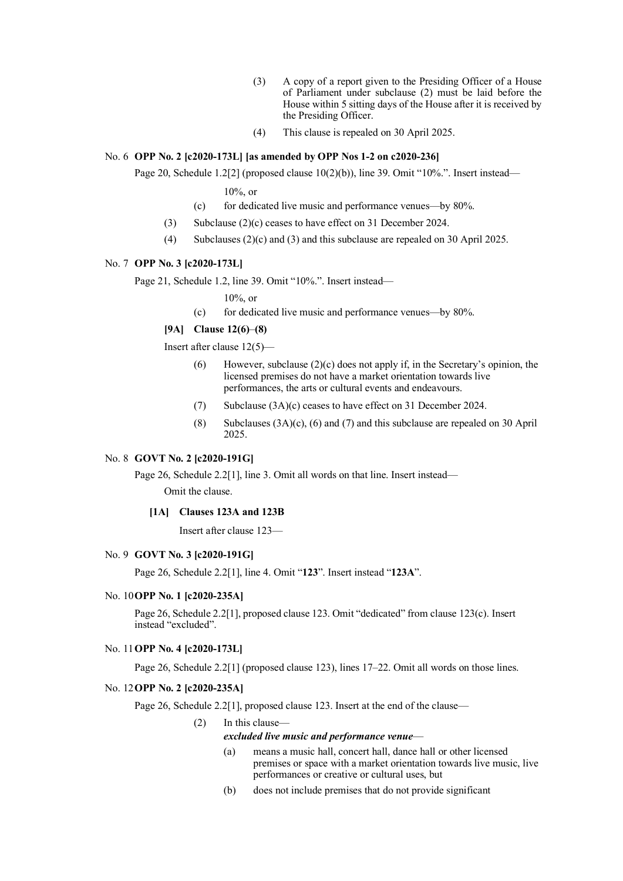- (3) A copy of a report given to the Presiding Officer of a House of Parliament under subclause (2) must be laid before the House within 5 sitting days of the House after it is received by the Presiding Officer.
- (4) This clause is repealed on 30 April 2025.

# No. 6 **OPP No. 2 [c2020-173L] [as amended by OPP Nos 1-2 on c2020-236]**

Page 20, Schedule  $1.2[2]$  (proposed clause  $10(2)(b)$ ), line 39. Omit "10%.". Insert instead—

10%, or

- (c) for dedicated live music and performance venues—by 80%.
- (3) Subclause (2)(c) ceases to have effect on 31 December 2024.
- (4) Subclauses (2)(c) and (3) and this subclause are repealed on 30 April 2025.

### No. 7 **OPP No. 3 [c2020-173L]**

Page 21, Schedule 1.2, line 39. Omit "10%.". Insert instead—

10%, or

(c) for dedicated live music and performance venues—by 80%.

# **[9A] Clause 12(6)**–**(8)**

Insert after clause 12(5)—

- (6) However, subclause  $(2)(c)$  does not apply if, in the Secretary's opinion, the licensed premises do not have a market orientation towards live performances, the arts or cultural events and endeavours.
- (7) Subclause (3A)(c) ceases to have effect on 31 December 2024.
- (8) Subclauses (3A)(c), (6) and (7) and this subclause are repealed on 30 April 2025.

# No. 8 **GOVT No. 2 [c2020-191G]**

Page 26, Schedule 2.2[1], line 3. Omit all words on that line. Insert instead—

Omit the clause.

## **[1A] Clauses 123A and 123B**

Insert after clause 123—

### No. 9 **GOVT No. 3 [c2020-191G]**

Page 26, Schedule 2.2[1], line 4. Omit "**123**". Insert instead "**123A**".

#### No. 10**OPP No. 1 [c2020-235A]**

Page 26, Schedule 2.2[1], proposed clause 123. Omit "dedicated" from clause 123(c). Insert instead "excluded".

# No. 11**OPP No. 4 [c2020-173L]**

Page 26, Schedule 2.2[1] (proposed clause 123), lines 17–22. Omit all words on those lines.

# No. 12**OPP No. 2 [c2020-235A]**

Page 26, Schedule 2.2[1], proposed clause 123. Insert at the end of the clause—

(2) In this clause—

#### *excluded live music and performance venue*—

- (a) means a music hall, concert hall, dance hall or other licensed premises or space with a market orientation towards live music, live performances or creative or cultural uses, but
- (b) does not include premises that do not provide significant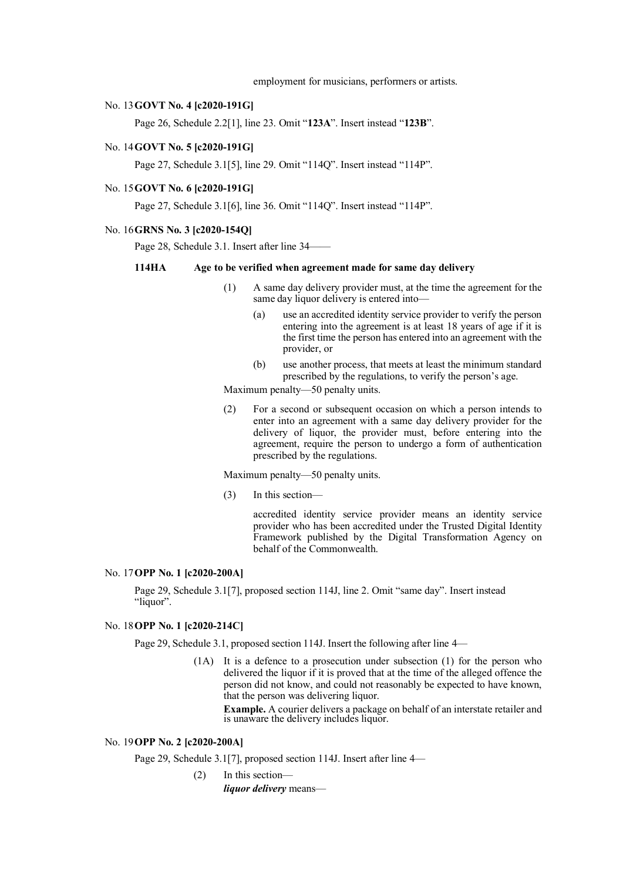employment for musicians, performers or artists.

### No. 13**GOVT No. 4 [c2020-191G]**

Page 26, Schedule 2.2[1], line 23. Omit "**123A**". Insert instead "**123B**".

## No. 14**GOVT No. 5 [c2020-191G]**

Page 27, Schedule 3.1[5], line 29. Omit "114Q". Insert instead "114P".

# No. 15**GOVT No. 6 [c2020-191G]**

Page 27, Schedule 3.1[6], line 36. Omit "114Q". Insert instead "114P".

#### No. 16**GRNS No. 3 [c2020-154Q]**

Page 28, Schedule 3.1. Insert after line 34–

## **114HA Age to be verified when agreement made for same day delivery**

- (1) A same day delivery provider must, at the time the agreement for the same day liquor delivery is entered into—
	- (a) use an accredited identity service provider to verify the person entering into the agreement is at least 18 years of age if it is the first time the person has entered into an agreement with the provider, or
	- (b) use another process, that meets at least the minimum standard prescribed by the regulations, to verify the person's age.

Maximum penalty—50 penalty units.

(2) For a second or subsequent occasion on which a person intends to enter into an agreement with a same day delivery provider for the delivery of liquor, the provider must, before entering into the agreement, require the person to undergo a form of authentication prescribed by the regulations.

Maximum penalty—50 penalty units.

(3) In this section—

accredited identity service provider means an identity service provider who has been accredited under the Trusted Digital Identity Framework published by the Digital Transformation Agency on behalf of the Commonwealth.

# No. 17**OPP No. 1 [c2020-200A]**

Page 29, Schedule 3.1[7], proposed section 114J, line 2. Omit "same day". Insert instead "liquor".

# No. 18**OPP No. 1 [c2020-214C]**

Page 29, Schedule 3.1, proposed section 114J. Insert the following after line 4—

(1A) It is a defence to a prosecution under subsection (1) for the person who delivered the liquor if it is proved that at the time of the alleged offence the person did not know, and could not reasonably be expected to have known, that the person was delivering liquor.

**Example.** A courier delivers a package on behalf of an interstate retailer and is unaware the delivery includes liquor.

# No. 19**OPP No. 2 [c2020-200A]**

Page 29, Schedule 3.1[7], proposed section 114J. Insert after line 4—

(2) In this section *liquor delivery* means—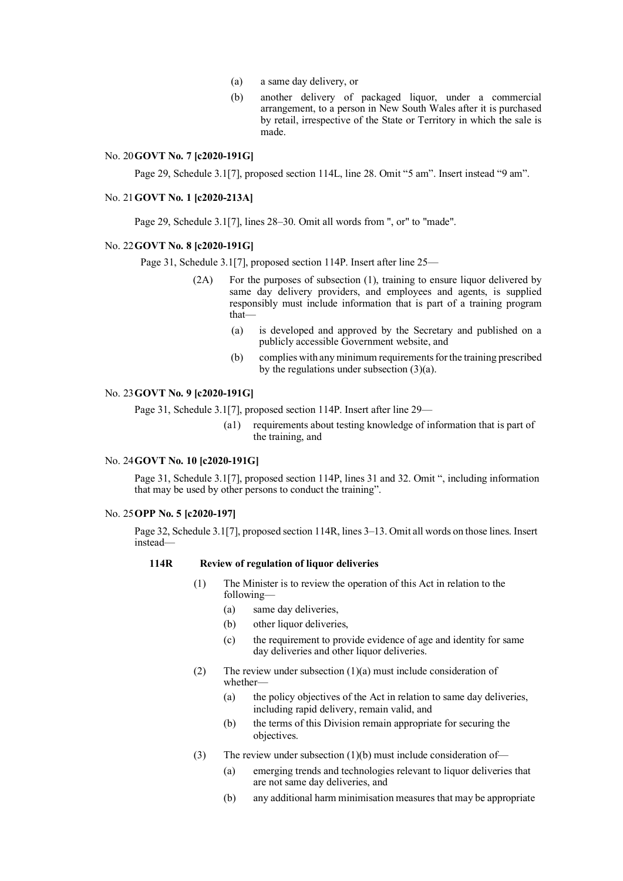- (a) a same day delivery, or
- (b) another delivery of packaged liquor, under a commercial arrangement, to a person in New South Wales after it is purchased by retail, irrespective of the State or Territory in which the sale is made.

# No. 20**GOVT No. 7 [c2020-191G]**

Page 29, Schedule 3.1<sup>[7]</sup>, proposed section 114L, line 28. Omit "5 am". Insert instead "9 am".

### No. 21**GOVT No. 1 [c2020-213A]**

Page 29, Schedule 3.1[7], lines 28–30. Omit all words from ", or" to "made".

## No. 22**GOVT No. 8 [c2020-191G]**

Page 31, Schedule 3.1[7], proposed section 114P. Insert after line 25—

- (2A) For the purposes of subsection (1), training to ensure liquor delivered by same day delivery providers, and employees and agents, is supplied responsibly must include information that is part of a training program that—
	- (a) is developed and approved by the Secretary and published on a publicly accessible Government website, and
	- (b) complies with any minimum requirements for the training prescribed by the regulations under subsection (3)(a).

### No. 23**GOVT No. 9 [c2020-191G]**

Page 31, Schedule 3.1[7], proposed section 114P. Insert after line 29—

(a1) requirements about testing knowledge of information that is part of the training, and

#### No. 24**GOVT No. 10 [c2020-191G]**

Page 31, Schedule 3.1[7], proposed section 114P, lines 31 and 32. Omit ", including information that may be used by other persons to conduct the training".

#### No. 25**OPP No. 5 [c2020-197]**

Page 32, Schedule 3.1[7], proposed section 114R, lines 3–13. Omit all words on those lines. Insert instead—

#### **114R Review of regulation of liquor deliveries**

- (1) The Minister is to review the operation of this Act in relation to the following—
	- (a) same day deliveries,
	- (b) other liquor deliveries,
	- (c) the requirement to provide evidence of age and identity for same day deliveries and other liquor deliveries.
- (2) The review under subsection  $(1)(a)$  must include consideration of whether—
	- (a) the policy objectives of the Act in relation to same day deliveries, including rapid delivery, remain valid, and
	- (b) the terms of this Division remain appropriate for securing the objectives.
- (3) The review under subsection  $(1)(b)$  must include consideration of-
	- (a) emerging trends and technologies relevant to liquor deliveries that are not same day deliveries, and
	- (b) any additional harm minimisation measures that may be appropriate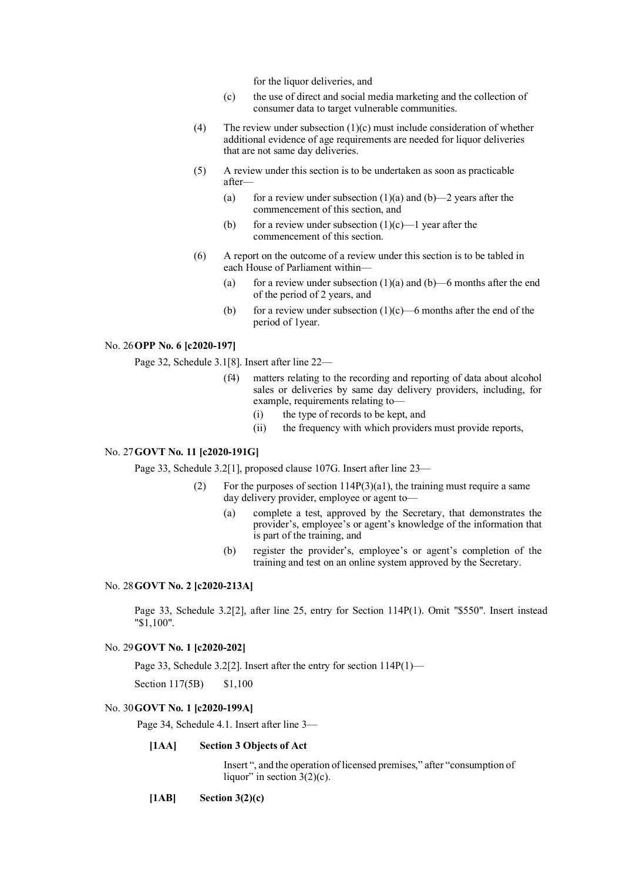for the liquor deliveries, and

- (c) the use of direct and social media marketing and the collection of consumer data to target vulnerable communities.
- (4) The review under subsection  $(1)(c)$  must include consideration of whether additional evidence of age requirements are needed for liquor deliveries that are not same day deliveries.
- (5) A review under this section is to be undertaken as soon as practicable after—
	- (a) for a review under subsection (1)(a) and (b)  $-2$  years after the commencement of this section, and
	- (b) for a review under subsection  $(1)(c)$ —1 year after the commencement of this section.
- (6) A report on the outcome of a review under this section is to be tabled in each House of Parliament within—
	- (a) for a review under subsection  $(1)(a)$  and  $(b)$ —6 months after the end of the period of 2 years, and
	- (b) for a review under subsection  $(1)(c)$ —6 months after the end of the period of 1year.

## No. 26**OPP No. 6 [c2020-197]**

Page 32, Schedule 3.1[8]. Insert after line 22—

- (f4) matters relating to the recording and reporting of data about alcohol sales or deliveries by same day delivery providers, including, for example, requirements relating to—
	- (i) the type of records to be kept, and
	- (ii) the frequency with which providers must provide reports,

# No. 27**GOVT No. 11 [c2020-191G]**

Page 33, Schedule 3.2[1], proposed clause 107G. Insert after line 23—

- (2) For the purposes of section 114P(3)(a1), the training must require a same day delivery provider, employee or agent to—
	- (a) complete a test, approved by the Secretary, that demonstrates the provider's, employee's or agent's knowledge of the information that is part of the training, and
	- (b) register the provider's, employee's or agent's completion of the training and test on an online system approved by the Secretary.

### No. 28**GOVT No. 2 [c2020-213A]**

Page 33, Schedule 3.2[2], after line 25, entry for Section 114P(1). Omit "\$550". Insert instead "\$1,100".

# No. 29**GOVT No. 1 [c2020-202]**

Page 33, Schedule 3.2[2]. Insert after the entry for section 114P(1)—

Section 117(5B) \$1,100

# No. 30**GOVT No. 1 [c2020-199A]**

Page 34, Schedule 4.1. Insert after line 3—

### **[1AA] Section 3 Objects of Act**

Insert ", and the operation of licensed premises," after "consumption of liquor" in section  $3(2)(c)$ .

**[1AB] Section 3(2)(c)**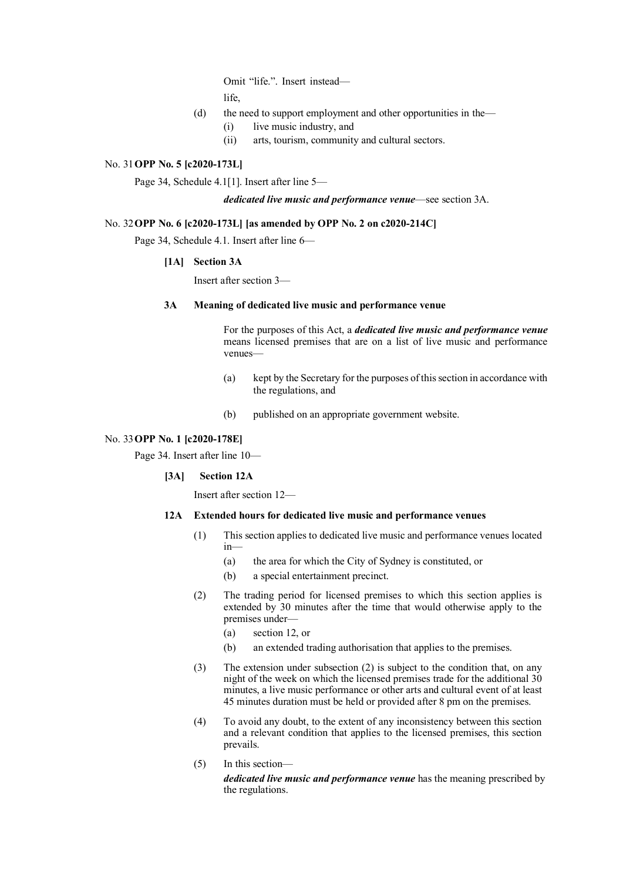Omit "life.". Insert instead life,

- (d) the need to support employment and other opportunities in the—
	- (i) live music industry, and
	- (ii) arts, tourism, community and cultural sectors.

# No. 31**OPP No. 5 [c2020-173L]**

Page 34, Schedule 4.1[1]. Insert after line 5—

*dedicated live music and performance venue*—see section 3A.

# No. 32**OPP No. 6 [c2020-173L] [as amended by OPP No. 2 on c2020-214C]**

Page 34, Schedule 4.1. Insert after line 6—

# **[1A] Section 3A**

Insert after section 3—

# **3A Meaning of dedicated live music and performance venue**

For the purposes of this Act, a *dedicated live music and performance venue* means licensed premises that are on a list of live music and performance venues—

- (a) kept by the Secretary for the purposes of this section in accordance with the regulations, and
- (b) published on an appropriate government website.

# No. 33**OPP No. 1 [c2020-178E]**

Page 34. Insert after line 10—

# **[3A] Section 12A**

Insert after section 12—

- **12A Extended hours for dedicated live music and performance venues**
	- (1) This section applies to dedicated live music and performance venues located in—
		- (a) the area for which the City of Sydney is constituted, or
		- (b) a special entertainment precinct.
	- (2) The trading period for licensed premises to which this section applies is extended by 30 minutes after the time that would otherwise apply to the premises under—
		- (a) section 12, or
		- (b) an extended trading authorisation that applies to the premises.
	- (3) The extension under subsection (2) is subject to the condition that, on any night of the week on which the licensed premises trade for the additional 30 minutes, a live music performance or other arts and cultural event of at least 45 minutes duration must be held or provided after 8 pm on the premises.
	- (4) To avoid any doubt, to the extent of any inconsistency between this section and a relevant condition that applies to the licensed premises, this section prevails.
	- (5) In this section—

*dedicated live music and performance venue* has the meaning prescribed by the regulations.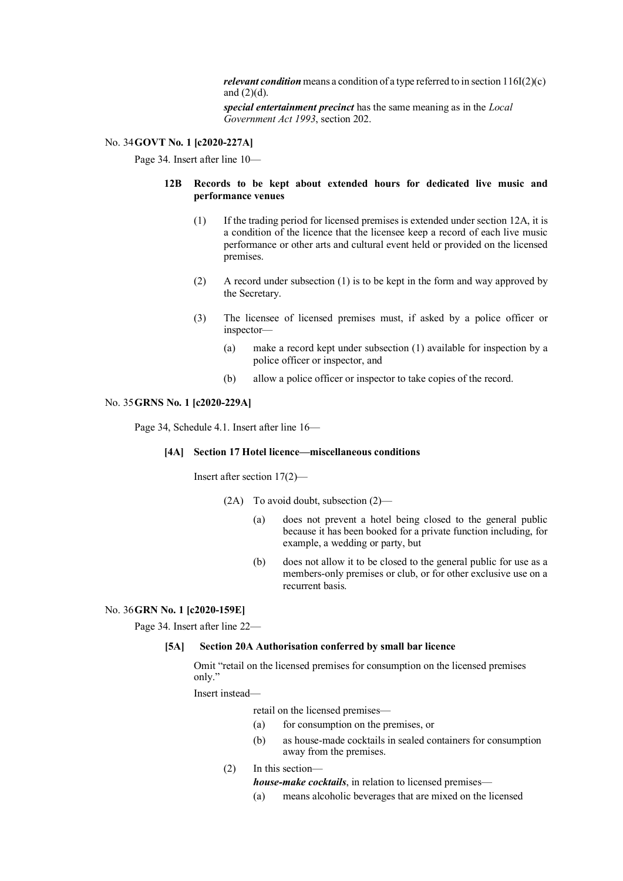*relevant condition* means a condition of a type referred to in section 116I(2)(c) and  $(2)(d)$ .

*special entertainment precinct* has the same meaning as in the *Local Government Act 1993*, section 202.

# No. 34**GOVT No. 1 [c2020-227A]**

Page 34. Insert after line 10—

### **12B Records to be kept about extended hours for dedicated live music and performance venues**

- (1) If the trading period for licensed premises is extended under section 12A, it is a condition of the licence that the licensee keep a record of each live music performance or other arts and cultural event held or provided on the licensed premises.
- (2) A record under subsection (1) is to be kept in the form and way approved by the Secretary.
- (3) The licensee of licensed premises must, if asked by a police officer or inspector—
	- (a) make a record kept under subsection (1) available for inspection by a police officer or inspector, and
	- (b) allow a police officer or inspector to take copies of the record.

#### No. 35**GRNS No. 1 [c2020-229A]**

Page 34, Schedule 4.1. Insert after line 16—

# **[4A] Section 17 Hotel licence—miscellaneous conditions**

Insert after section 17(2)—

- (2A) To avoid doubt, subsection (2)—
	- (a) does not prevent a hotel being closed to the general public because it has been booked for a private function including, for example, a wedding or party, but
	- (b) does not allow it to be closed to the general public for use as a members-only premises or club, or for other exclusive use on a recurrent basis.

#### No. 36**GRN No. 1 [c2020-159E]**

Page 34. Insert after line 22—

# **[5A] Section 20A Authorisation conferred by small bar licence**

Omit "retail on the licensed premises for consumption on the licensed premises only."

# Insert instead—

retail on the licensed premises—

- (a) for consumption on the premises, or
- (b) as house-made cocktails in sealed containers for consumption away from the premises.

# (2) In this section—

*house-make cocktails*, in relation to licensed premises—

(a) means alcoholic beverages that are mixed on the licensed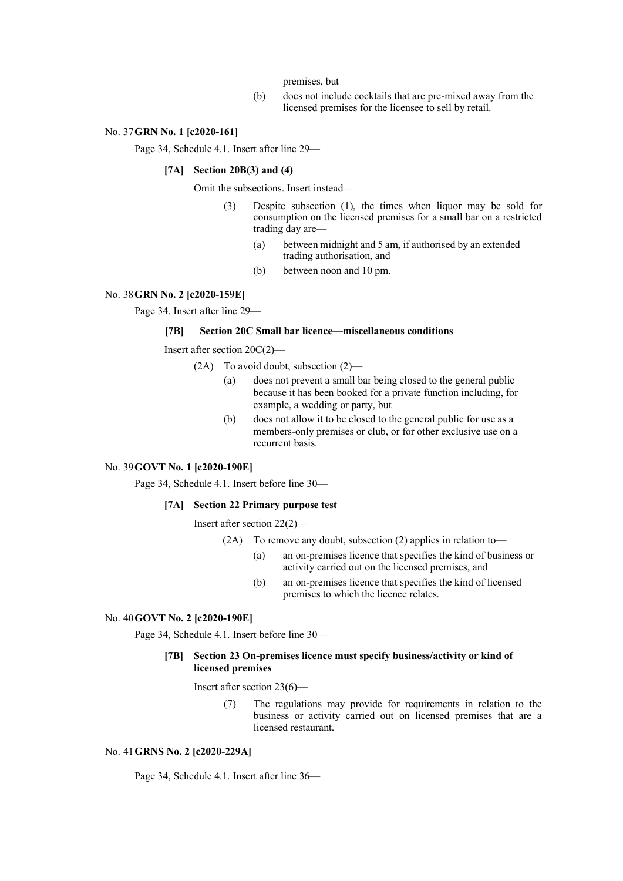## premises, but

(b) does not include cocktails that are pre-mixed away from the licensed premises for the licensee to sell by retail.

# No. 37**GRN No. 1 [c2020-161]**

Page 34, Schedule 4.1. Insert after line 29—

# **[7A] Section 20B(3) and (4)**

Omit the subsections. Insert instead—

- (3) Despite subsection (1), the times when liquor may be sold for consumption on the licensed premises for a small bar on a restricted trading day are—
	- (a) between midnight and 5 am, if authorised by an extended trading authorisation, and
	- (b) between noon and 10 pm.

### No. 38**GRN No. 2 [c2020-159E]**

Page 34. Insert after line 29—

#### **[7B] Section 20C Small bar licence—miscellaneous conditions**

Insert after section 20C(2)—

- (2A) To avoid doubt, subsection (2)—
	- (a) does not prevent a small bar being closed to the general public because it has been booked for a private function including, for example, a wedding or party, but
	- (b) does not allow it to be closed to the general public for use as a members-only premises or club, or for other exclusive use on a recurrent basis.

#### No. 39**GOVT No. 1 [c2020-190E]**

Page 34, Schedule 4.1. Insert before line 30—

#### **[7A] Section 22 Primary purpose test**

Insert after section 22(2)—

- (2A) To remove any doubt, subsection (2) applies in relation to—
	- (a) an on-premises licence that specifies the kind of business or activity carried out on the licensed premises, and
	- (b) an on-premises licence that specifies the kind of licensed premises to which the licence relates.

#### No. 40**GOVT No. 2 [c2020-190E]**

Page 34, Schedule 4.1. Insert before line 30—

### **[7B] Section 23 On-premises licence must specify business/activity or kind of licensed premises**

Insert after section 23(6)—

(7) The regulations may provide for requirements in relation to the business or activity carried out on licensed premises that are a licensed restaurant.

#### No. 41**GRNS No. 2 [c2020-229A]**

Page 34, Schedule 4.1. Insert after line 36—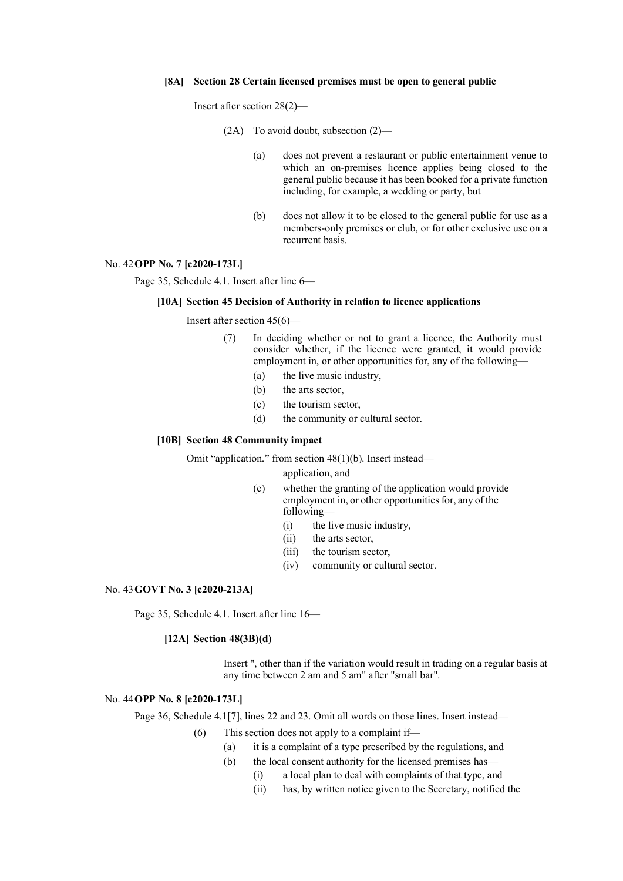#### **[8A] Section 28 Certain licensed premises must be open to general public**

Insert after section 28(2)—

- (2A) To avoid doubt, subsection (2)—
	- (a) does not prevent a restaurant or public entertainment venue to which an on-premises licence applies being closed to the general public because it has been booked for a private function including, for example, a wedding or party, but
	- (b) does not allow it to be closed to the general public for use as a members-only premises or club, or for other exclusive use on a recurrent basis.

## No. 42**OPP No. 7 [c2020-173L]**

Page 35, Schedule 4.1. Insert after line 6—

#### **[10A] Section 45 Decision of Authority in relation to licence applications**

Insert after section 45(6)—

- (7) In deciding whether or not to grant a licence, the Authority must consider whether, if the licence were granted, it would provide employment in, or other opportunities for, any of the following—
	- (a) the live music industry,
	- (b) the arts sector,
	- (c) the tourism sector,
	- (d) the community or cultural sector.

#### **[10B] Section 48 Community impact**

Omit "application." from section 48(1)(b). Insert instead—

application, and

- (c) whether the granting of the application would provide employment in, or other opportunities for, any of the following—
	- (i) the live music industry,
	- (ii) the arts sector,
	- (iii) the tourism sector,
	- (iv) community or cultural sector.

### No. 43**GOVT No. 3 [c2020-213A]**

Page 35, Schedule 4.1. Insert after line 16—

#### **[12A] Section 48(3B)(d)**

Insert ", other than if the variation would result in trading on a regular basis at any time between 2 am and 5 am" after "small bar".

### No. 44**OPP No. 8 [c2020-173L]**

Page 36, Schedule 4.1<sup>[7]</sup>, lines 22 and 23. Omit all words on those lines. Insert instead—

- (6) This section does not apply to a complaint if—
	- (a) it is a complaint of a type prescribed by the regulations, and
	- (b) the local consent authority for the licensed premises has-
		- (i) a local plan to deal with complaints of that type, and
		- (ii) has, by written notice given to the Secretary, notified the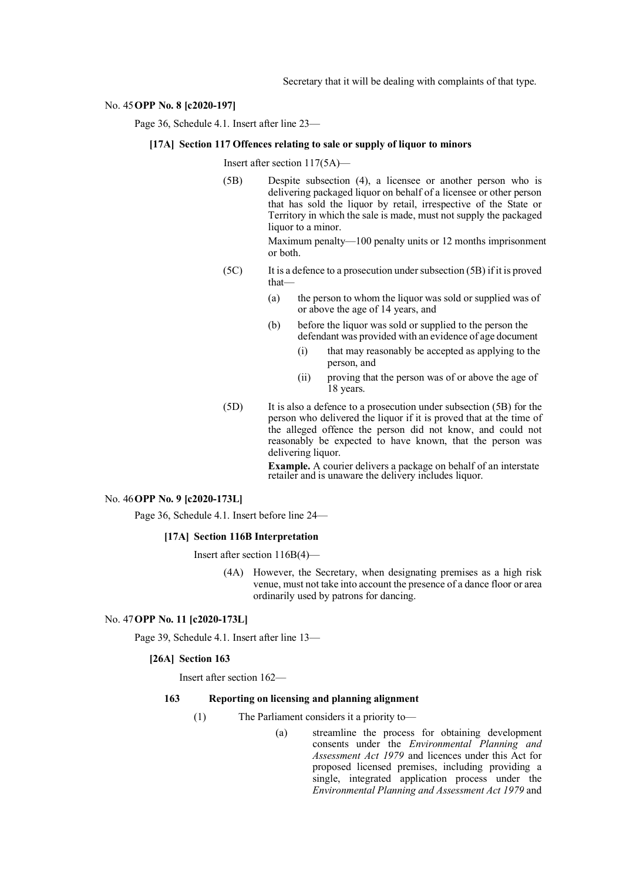Secretary that it will be dealing with complaints of that type.

#### No. 45**OPP No. 8 [c2020-197]**

Page 36, Schedule 4.1. Insert after line 23—

# **[17A] Section 117 Offences relating to sale or supply of liquor to minors**

Insert after section 117(5A)—

(5B) Despite subsection (4), a licensee or another person who is delivering packaged liquor on behalf of a licensee or other person that has sold the liquor by retail, irrespective of the State or Territory in which the sale is made, must not supply the packaged liquor to a minor.

> Maximum penalty—100 penalty units or 12 months imprisonment or both.

- (5C) It is a defence to a prosecution under subsection (5B) if it is proved that—
	- (a) the person to whom the liquor was sold or supplied was of or above the age of 14 years, and
	- (b) before the liquor was sold or supplied to the person the defendant was provided with an evidence of age document
		- (i) that may reasonably be accepted as applying to the person, and
		- (ii) proving that the person was of or above the age of 18 years.
- (5D) It is also a defence to a prosecution under subsection (5B) for the person who delivered the liquor if it is proved that at the time of the alleged offence the person did not know, and could not reasonably be expected to have known, that the person was delivering liquor.

**Example.** A courier delivers a package on behalf of an interstate retailer and is unaware the delivery includes liquor.

## No. 46**OPP No. 9 [c2020-173L]**

Page 36, Schedule 4.1. Insert before line 24—

### **[17A] Section 116B Interpretation**

Insert after section 116B(4)—

(4A) However, the Secretary, when designating premises as a high risk venue, must not take into account the presence of a dance floor or area ordinarily used by patrons for dancing.

#### No. 47**OPP No. 11 [c2020-173L]**

Page 39, Schedule 4.1. Insert after line 13—

#### **[26A] Section 163**

Insert after section 162—

#### **163 Reporting on licensing and planning alignment**

- (1) The Parliament considers it a priority to—
	-

(a) streamline the process for obtaining development consents under the *Environmental Planning and Assessment Act 1979* and licences under this Act for proposed licensed premises, including providing a single, integrated application process under the *Environmental Planning and Assessment Act 1979* and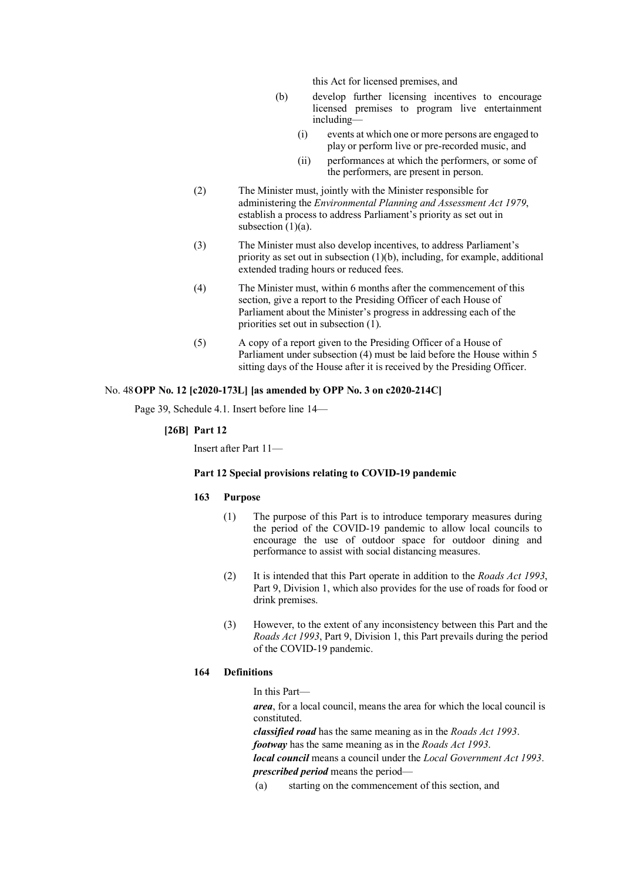this Act for licensed premises, and

- (b) develop further licensing incentives to encourage licensed premises to program live entertainment including—
	- (i) events at which one or more persons are engaged to play or perform live or pre-recorded music, and
	- (ii) performances at which the performers, or some of the performers, are present in person.
- (2) The Minister must, jointly with the Minister responsible for administering the *Environmental Planning and Assessment Act 1979*, establish a process to address Parliament's priority as set out in subsection  $(1)(a)$ .
- (3) The Minister must also develop incentives, to address Parliament's priority as set out in subsection  $(1)(b)$ , including, for example, additional extended trading hours or reduced fees.
- (4) The Minister must, within 6 months after the commencement of this section, give a report to the Presiding Officer of each House of Parliament about the Minister's progress in addressing each of the priorities set out in subsection (1).
- (5) A copy of a report given to the Presiding Officer of a House of Parliament under subsection (4) must be laid before the House within 5 sitting days of the House after it is received by the Presiding Officer.

# No. 48**OPP No. 12 [c2020-173L] [as amended by OPP No. 3 on c2020-214C]**

Page 39, Schedule 4.1. Insert before line 14—

## **[26B] Part 12**

Insert after Part 11—

# **Part 12 Special provisions relating to COVID-19 pandemic**

### **163 Purpose**

- (1) The purpose of this Part is to introduce temporary measures during the period of the COVID-19 pandemic to allow local councils to encourage the use of outdoor space for outdoor dining and performance to assist with social distancing measures.
- (2) It is intended that this Part operate in addition to the *Roads Act 1993*, Part 9, Division 1, which also provides for the use of roads for food or drink premises.
- (3) However, to the extent of any inconsistency between this Part and the *Roads Act 1993*, Part 9, Division 1, this Part prevails during the period of the COVID-19 pandemic.

## **164 Definitions**

In this Part—

*area*, for a local council, means the area for which the local council is constituted.

*classified road* has the same meaning as in the *Roads Act 1993*.

*footway* has the same meaning as in the *Roads Act 1993*.

*local council* means a council under the *Local Government Act 1993*. *prescribed period* means the period—

(a) starting on the commencement of this section, and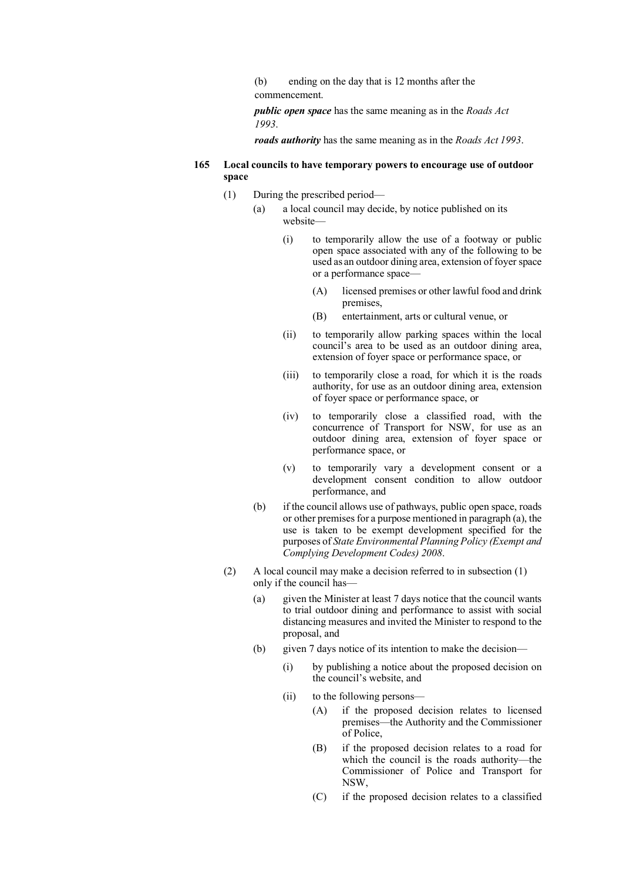(b) ending on the day that is 12 months after the commencement.

*public open space* has the same meaning as in the *Roads Act 1993*.

*roads authority* has the same meaning as in the *Roads Act 1993*.

- **165 Local councils to have temporary powers to encourage use of outdoor space**
	- (1) During the prescribed period—
		- (a) a local council may decide, by notice published on its website
			- (i) to temporarily allow the use of a footway or public open space associated with any of the following to be used as an outdoor dining area, extension of foyer space or a performance space—
				- (A) licensed premises or other lawful food and drink premises,
				- (B) entertainment, arts or cultural venue, or
			- (ii) to temporarily allow parking spaces within the local council's area to be used as an outdoor dining area, extension of foyer space or performance space, or
			- (iii) to temporarily close a road, for which it is the roads authority, for use as an outdoor dining area, extension of foyer space or performance space, or
			- (iv) to temporarily close a classified road, with the concurrence of Transport for NSW, for use as an outdoor dining area, extension of foyer space or performance space, or
			- (v) to temporarily vary a development consent or a development consent condition to allow outdoor performance, and
		- (b) if the council allows use of pathways, public open space, roads or other premises for a purpose mentioned in paragraph  $(a)$ , the use is taken to be exempt development specified for the purposes of *State Environmental Planning Policy (Exempt and Complying Development Codes) 2008*.
	- (2) A local council may make a decision referred to in subsection (1) only if the council has—
		- (a) given the Minister at least 7 days notice that the council wants to trial outdoor dining and performance to assist with social distancing measures and invited the Minister to respond to the proposal, and
		- (b) given 7 days notice of its intention to make the decision—
			- (i) by publishing a notice about the proposed decision on the council's website, and
			- (ii) to the following persons—
				- (A) if the proposed decision relates to licensed premises—the Authority and the Commissioner of Police,
				- (B) if the proposed decision relates to a road for which the council is the roads authority—the Commissioner of Police and Transport for NSW,
				- (C) if the proposed decision relates to a classified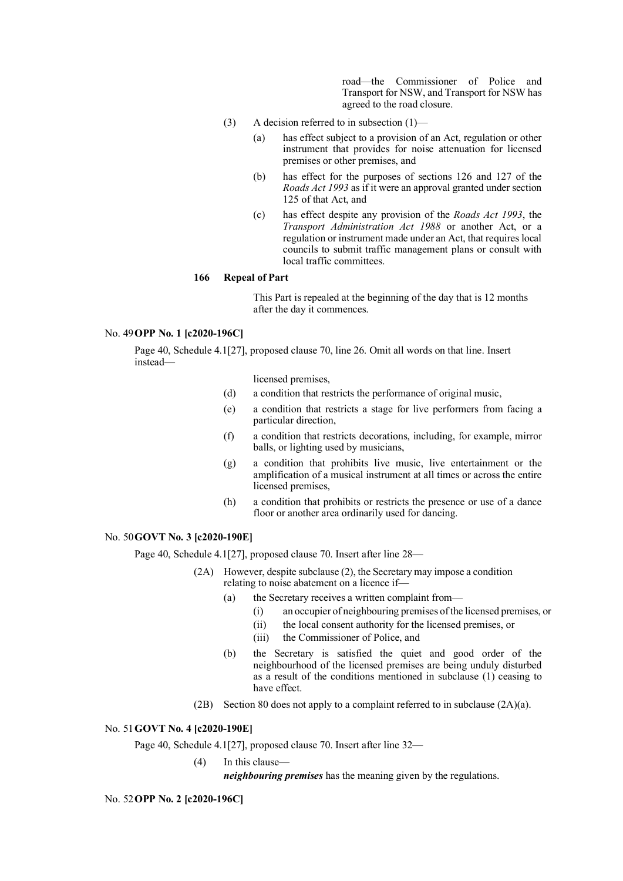road—the Commissioner of Police and Transport for NSW, and Transport for NSW has agreed to the road closure.

- (3) A decision referred to in subsection (1)—
	- (a) has effect subject to a provision of an Act, regulation or other instrument that provides for noise attenuation for licensed premises or other premises, and
	- (b) has effect for the purposes of sections 126 and 127 of the *Roads Act 1993* as if it were an approval granted under section 125 of that Act, and
	- (c) has effect despite any provision of the *Roads Act 1993*, the *Transport Administration Act 1988* or another Act, or a regulation or instrument made under an Act, that requires local councils to submit traffic management plans or consult with local traffic committees.

# **166 Repeal of Part**

This Part is repealed at the beginning of the day that is 12 months after the day it commences.

# No. 49**OPP No. 1 [c2020-196C]**

Page 40, Schedule 4.1[27], proposed clause 70, line 26. Omit all words on that line. Insert instead—

licensed premises,

- (d) a condition that restricts the performance of original music,
- (e) a condition that restricts a stage for live performers from facing a particular direction,
- (f) a condition that restricts decorations, including, for example, mirror balls, or lighting used by musicians,
- (g) a condition that prohibits live music, live entertainment or the amplification of a musical instrument at all times or across the entire licensed premises,
- (h) a condition that prohibits or restricts the presence or use of a dance floor or another area ordinarily used for dancing.

### No. 50**GOVT No. 3 [c2020-190E]**

Page 40, Schedule 4.1[27], proposed clause 70. Insert after line 28—

- (2A) However, despite subclause (2), the Secretary may impose a condition relating to noise abatement on a licence if—
	- (a) the Secretary receives a written complaint from—
		- (i) an occupier of neighbouring premises of the licensed premises, or
		- (ii) the local consent authority for the licensed premises, or
		- (iii) the Commissioner of Police, and
	- (b) the Secretary is satisfied the quiet and good order of the neighbourhood of the licensed premises are being unduly disturbed as a result of the conditions mentioned in subclause (1) ceasing to have effect.
- (2B) Section 80 does not apply to a complaint referred to in subclause (2A)(a).

# No. 51**GOVT No. 4 [c2020-190E]**

Page 40, Schedule 4.1[27], proposed clause 70. Insert after line 32—

(4) In this clause—

*neighbouring premises* has the meaning given by the regulations.

# No. 52**OPP No. 2 [c2020-196C]**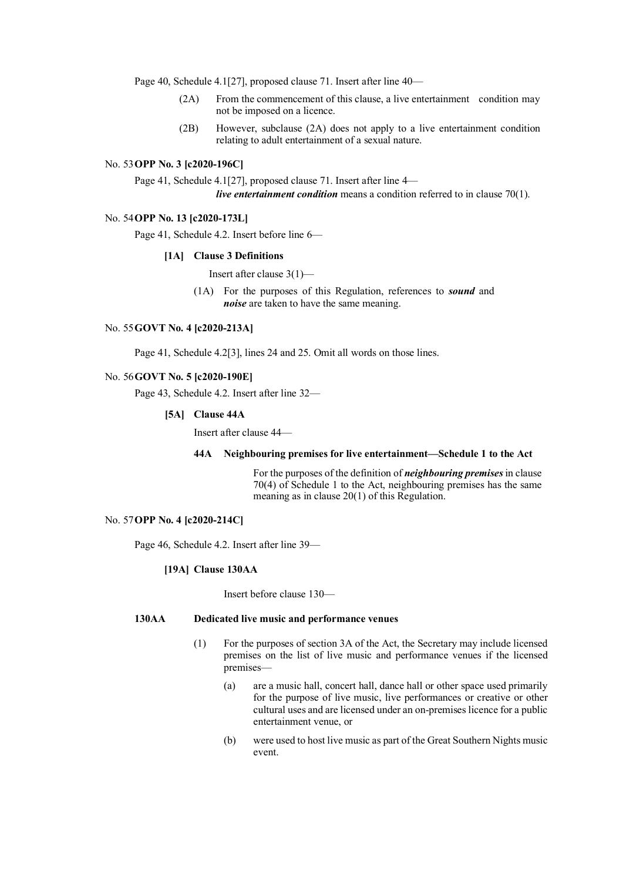Page 40, Schedule 4.1[27], proposed clause 71. Insert after line 40—

- (2A) From the commencement of this clause, a live entertainment condition may not be imposed on a licence.
- (2B) However, subclause (2A) does not apply to a live entertainment condition relating to adult entertainment of a sexual nature.

## No. 53**OPP No. 3 [c2020-196C]**

Page 41, Schedule 4.1[27], proposed clause 71. Insert after line 4—

*live entertainment condition* means a condition referred to in clause 70(1).

## No. 54**OPP No. 13 [c2020-173L]**

Page 41, Schedule 4.2. Insert before line 6—

#### **[1A] Clause 3 Definitions**

Insert after clause 3(1)—

(1A) For the purposes of this Regulation, references to *sound* and *noise* are taken to have the same meaning.

### No. 55**GOVT No. 4 [c2020-213A]**

Page 41, Schedule 4.2[3], lines 24 and 25. Omit all words on those lines.

# No. 56**GOVT No. 5 [c2020-190E]**

Page 43, Schedule 4.2. Insert after line 32—

#### **[5A] Clause 44A**

Insert after clause 44—

# **44A Neighbouring premises for live entertainment—Schedule 1 to the Act**

For the purposes of the definition of *neighbouring premises* in clause 70(4) of Schedule 1 to the Act, neighbouring premises has the same meaning as in clause 20(1) of this Regulation.

# No. 57**OPP No. 4 [c2020-214C]**

Page 46, Schedule 4.2. Insert after line 39—

# **[19A] Clause 130AA**

Insert before clause 130—

## **130AA Dedicated live music and performance venues**

- (1) For the purposes of section 3A of the Act, the Secretary may include licensed premises on the list of live music and performance venues if the licensed premises—
	- (a) are a music hall, concert hall, dance hall or other space used primarily for the purpose of live music, live performances or creative or other cultural uses and are licensed under an on-premises licence for a public entertainment venue, or
	- (b) were used to host live music as part of the Great Southern Nights music event.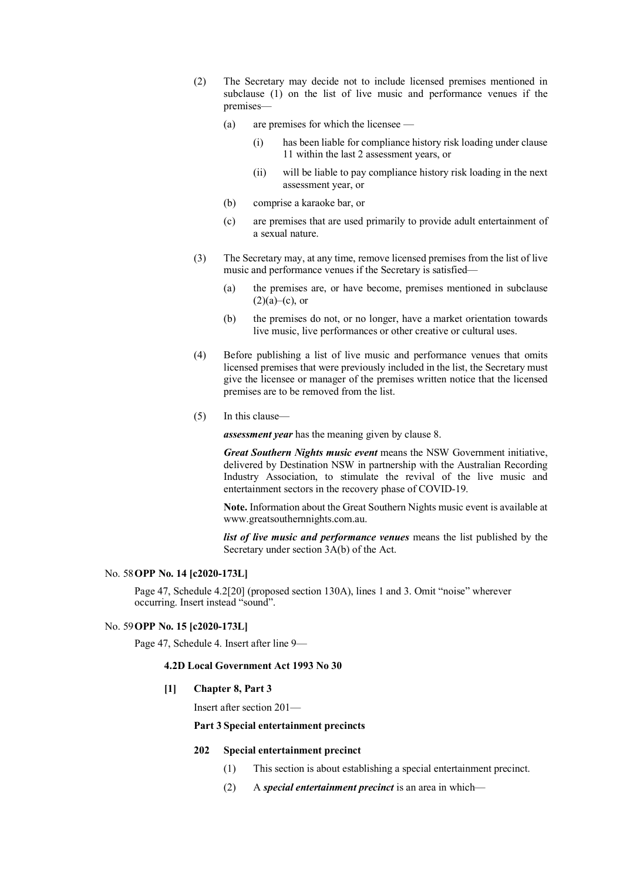- (2) The Secretary may decide not to include licensed premises mentioned in subclause (1) on the list of live music and performance venues if the premises—
	- (a) are premises for which the licensee
		- (i) has been liable for compliance history risk loading under clause 11 within the last 2 assessment years, or
		- (ii) will be liable to pay compliance history risk loading in the next assessment year, or
	- (b) comprise a karaoke bar, or
	- (c) are premises that are used primarily to provide adult entertainment of a sexual nature.
- (3) The Secretary may, at any time, remove licensed premises from the list of live music and performance venues if the Secretary is satisfied—
	- (a) the premises are, or have become, premises mentioned in subclause  $(2)(a)$ –(c), or
	- (b) the premises do not, or no longer, have a market orientation towards live music, live performances or other creative or cultural uses.
- (4) Before publishing a list of live music and performance venues that omits licensed premises that were previously included in the list, the Secretary must give the licensee or manager of the premises written notice that the licensed premises are to be removed from the list.
- (5) In this clause—

*assessment year* has the meaning given by clause 8.

*Great Southern Nights music event* means the NSW Government initiative, delivered by Destination NSW in partnership with the Australian Recording Industry Association, to stimulate the revival of the live music and entertainment sectors in the recovery phase of COVID-19.

**Note.** Information about the Great Southern Nights music event is available at www.greatsouthernnights.com.au.

*list of live music and performance venues* means the list published by the Secretary under section 3A(b) of the Act.

# No. 58**OPP No. 14 [c2020-173L]**

Page 47, Schedule 4.2[20] (proposed section 130A), lines 1 and 3. Omit "noise" wherever occurring. Insert instead "sound".

# No. 59**OPP No. 15 [c2020-173L]**

Page 47, Schedule 4. Insert after line 9—

#### **4.2D Local Government Act 1993 No 30**

#### **[1] Chapter 8, Part 3**

Insert after section 201—

# **Part 3 Special entertainment precincts**

# **202 Special entertainment precinct**

- (1) This section is about establishing a special entertainment precinct.
- (2) A *special entertainment precinct* is an area in which—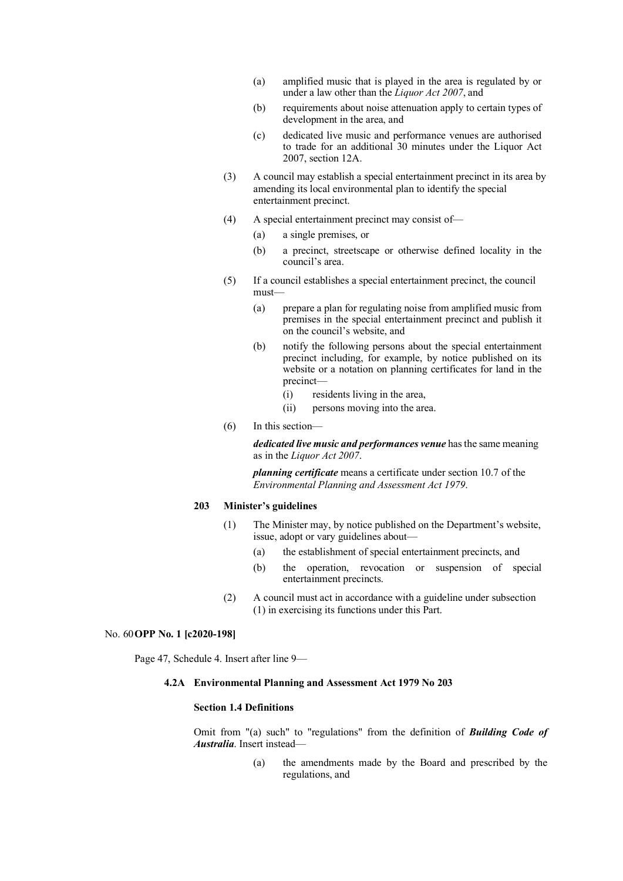- (a) amplified music that is played in the area is regulated by or under a law other than the *Liquor Act 2007*, and
- (b) requirements about noise attenuation apply to certain types of development in the area, and
- (c) dedicated live music and performance venues are authorised to trade for an additional 30 minutes under the Liquor Act 2007, section 12A.
- (3) A council may establish a special entertainment precinct in its area by amending its local environmental plan to identify the special entertainment precinct.
- (4) A special entertainment precinct may consist of—
	- (a) a single premises, or
	- (b) a precinct, streetscape or otherwise defined locality in the council's area.
- (5) If a council establishes a special entertainment precinct, the council must—
	- (a) prepare a plan for regulating noise from amplified music from premises in the special entertainment precinct and publish it on the council's website, and
	- (b) notify the following persons about the special entertainment precinct including, for example, by notice published on its website or a notation on planning certificates for land in the precinct—
		- (i) residents living in the area,
		- (ii) persons moving into the area.
- (6) In this section—

*dedicated live music and performances venue* hasthe same meaning as in the *Liquor Act 2007*.

*planning certificate* means a certificate under section 10.7 of the *Environmental Planning and Assessment Act 1979*.

# **203 Minister's guidelines**

- (1) The Minister may, by notice published on the Department's website, issue, adopt or vary guidelines about—
	- (a) the establishment of special entertainment precincts, and
	- (b) the operation, revocation or suspension of special entertainment precincts.
- (2) A council must act in accordance with a guideline under subsection (1) in exercising its functions under this Part.

#### No. 60**OPP No. 1 [c2020-198]**

Page 47, Schedule 4. Insert after line 9—

# **4.2A Environmental Planning and Assessment Act 1979 No 203**

### **Section 1.4 Definitions**

Omit from "(a) such" to "regulations" from the definition of *Building Code of Australia*. Insert instead—

> (a) the amendments made by the Board and prescribed by the regulations, and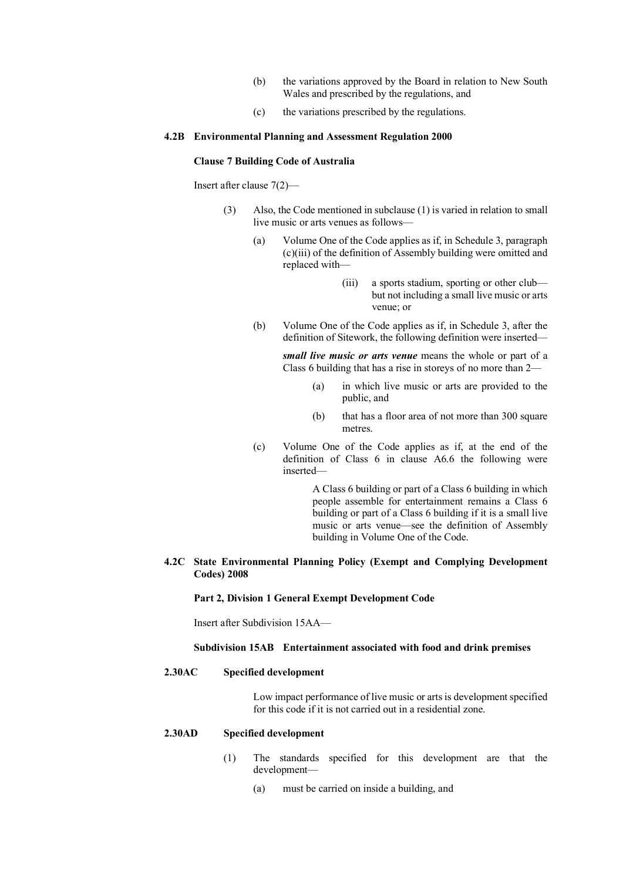- (b) the variations approved by the Board in relation to New South Wales and prescribed by the regulations, and
- (c) the variations prescribed by the regulations.

## **4.2B Environmental Planning and Assessment Regulation 2000**

#### **Clause 7 Building Code of Australia**

Insert after clause 7(2)—

- (3) Also, the Code mentioned in subclause (1) is varied in relation to small live music or arts venues as follows—
	- (a) Volume One of the Code applies as if, in Schedule 3, paragraph (c)(iii) of the definition of Assembly building were omitted and replaced with—
		- (iii) a sports stadium, sporting or other club but not including a small live music or arts venue; or
	- (b) Volume One of the Code applies as if, in Schedule 3, after the definition of Sitework, the following definition were inserted—

*small live music or arts venue* means the whole or part of a Class 6 building that has a rise in storeys of no more than 2—

- (a) in which live music or arts are provided to the public, and
- (b) that has a floor area of not more than 300 square metres.
- (c) Volume One of the Code applies as if, at the end of the definition of Class 6 in clause A6.6 the following were inserted—

A Class 6 building or part of a Class 6 building in which people assemble for entertainment remains a Class 6 building or part of a Class 6 building if it is a small live music or arts venue—see the definition of Assembly building in Volume One of the Code.

# **4.2C State Environmental Planning Policy (Exempt and Complying Development Codes) 2008**

#### **Part 2, Division 1 General Exempt Development Code**

Insert after Subdivision 15AA—

# **Subdivision 15AB Entertainment associated with food and drink premises**

## **2.30AC Specified development**

Low impact performance of live music or arts is development specified for this code if it is not carried out in a residential zone.

#### **2.30AD Specified development**

- (1) The standards specified for this development are that the development—
	- (a) must be carried on inside a building, and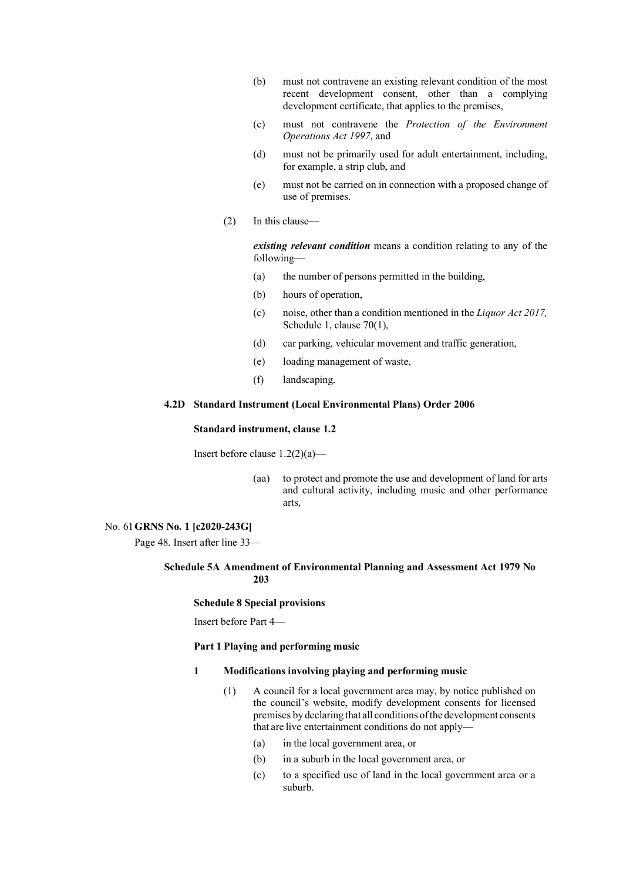- (b) must not contravene an existing relevant condition of the most recent development consent, other than a complying development certificate, that applies to the premises,
- (c) must not contravene the *Protection of the Environment Operations Act 1997*, and
- (d) must not be primarily used for adult entertainment, including, for example, a strip club, and
- (e) must not be carried on in connection with a proposed change of use of premises.
- (2) In this clause—

*existing relevant condition* means a condition relating to any of the following—

- (a) the number of persons permitted in the building,
- (b) hours of operation,
- (c) noise, other than a condition mentioned in the *Liquor Act 2017,*  Schedule 1, clause 70(1),
- (d) car parking, vehicular movement and traffic generation,
- (e) loading management of waste,
- (f) landscaping.

## **4.2D Standard Instrument (Local Environmental Plans) Order 2006**

## **Standard instrument, clause 1.2**

Insert before clause 1.2(2)(a)—

(aa) to protect and promote the use and development of land for arts and cultural activity, including music and other performance arts,

# No. 61**GRNS No. 1 [c2020-243G]**

Page 48. Insert after line 33—

# **Schedule 5A Amendment of Environmental Planning and Assessment Act 1979 No 203**

### **Schedule 8 Special provisions**

Insert before Part 4—

# **Part 1 Playing and performing music**

### **1 Modifications involving playing and performing music**

- (1) A council for a local government area may, by notice published on the council's website, modify development consents for licensed premises by declaring that all conditions ofthe development consents that are live entertainment conditions do not apply—
	- (a) in the local government area, or
	- (b) in a suburb in the local government area, or
	- (c) to a specified use of land in the local government area or a suburb.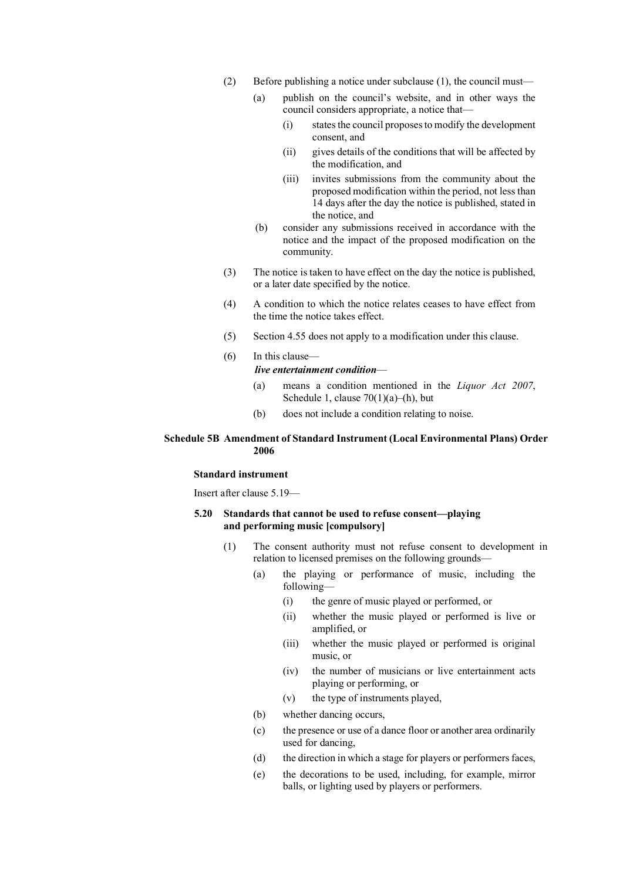- (2) Before publishing a notice under subclause (1), the council must—
	- (a) publish on the council's website, and in other ways the council considers appropriate, a notice that—
		- (i) states the council proposes to modify the development consent, and
		- (ii) gives details of the conditions that will be affected by the modification, and
		- (iii) invites submissions from the community about the proposed modification within the period, not less than 14 days after the day the notice is published, stated in the notice, and
	- (b) consider any submissions received in accordance with the notice and the impact of the proposed modification on the community.
- (3) The notice is taken to have effect on the day the notice is published, or a later date specified by the notice.
- (4) A condition to which the notice relates ceases to have effect from the time the notice takes effect.
- (5) Section 4.55 does not apply to a modification under this clause.
- (6) In this clause—

# *live entertainment condition*—

- (a) means a condition mentioned in the *Liquor Act 2007*, Schedule 1, clause  $70(1)(a)$ –(h), but
- (b) does not include a condition relating to noise.

# **Schedule 5B Amendment of Standard Instrument (Local Environmental Plans) Order 2006**

# **Standard instrument**

Insert after clause 5.19—

# **5.20 Standards that cannot be used to refuse consent—playing and performing music [compulsory]**

- (1) The consent authority must not refuse consent to development in relation to licensed premises on the following grounds—
	- (a) the playing or performance of music, including the following—
		- (i) the genre of music played or performed, or
		- (ii) whether the music played or performed is live or amplified, or
		- (iii) whether the music played or performed is original music, or
		- (iv) the number of musicians or live entertainment acts playing or performing, or
		- (v) the type of instruments played,
	- (b) whether dancing occurs,
	- (c) the presence or use of a dance floor or another area ordinarily used for dancing,
	- (d) the direction in which a stage for players or performers faces,
	- (e) the decorations to be used, including, for example, mirror balls, or lighting used by players or performers.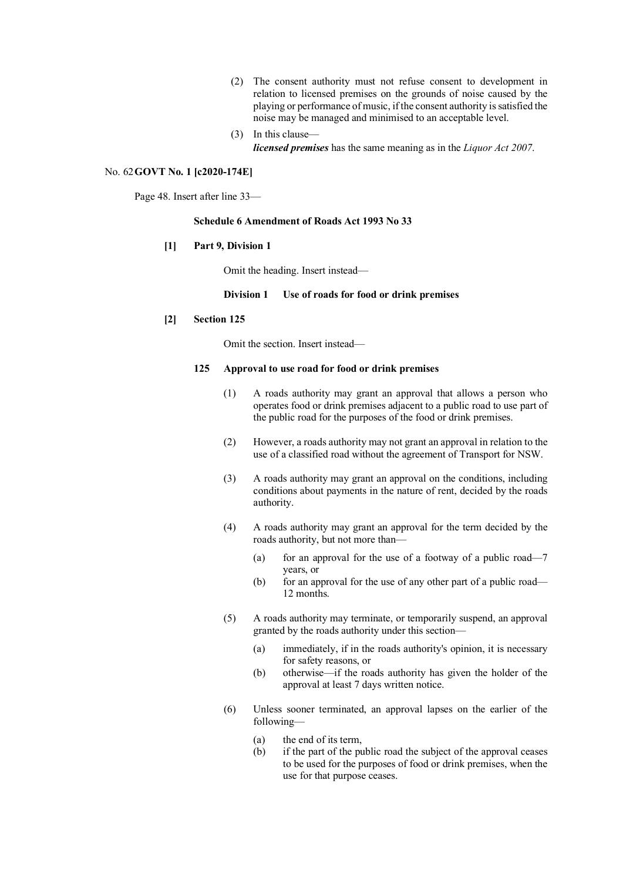- (2) The consent authority must not refuse consent to development in relation to licensed premises on the grounds of noise caused by the playing or performance of music, if the consent authority is satisfied the noise may be managed and minimised to an acceptable level.
- (3) In this clause *licensed premises* has the same meaning as in the *Liquor Act 2007*.

#### No. 62**GOVT No. 1 [c2020-174E]**

Page 48. Insert after line 33—

# **Schedule 6 Amendment of Roads Act 1993 No 33**

### **[1] Part 9, Division 1**

Omit the heading. Insert instead—

## **Division 1 Use of roads for food or drink premises**

## **[2] Section 125**

Omit the section. Insert instead—

# **125 Approval to use road for food or drink premises**

- (1) A roads authority may grant an approval that allows a person who operates food or drink premises adjacent to a public road to use part of the public road for the purposes of the food or drink premises.
- (2) However, a roads authority may not grant an approval in relation to the use of a classified road without the agreement of Transport for NSW.
- (3) A roads authority may grant an approval on the conditions, including conditions about payments in the nature of rent, decided by the roads authority.
- (4) A roads authority may grant an approval for the term decided by the roads authority, but not more than—
	- (a) for an approval for the use of a footway of a public road—7 years, or
	- (b) for an approval for the use of any other part of a public road— 12 months.
- (5) A roads authority may terminate, or temporarily suspend, an approval granted by the roads authority under this section—
	- (a) immediately, if in the roads authority's opinion, it is necessary for safety reasons, or
	- (b) otherwise—if the roads authority has given the holder of the approval at least 7 days written notice.
- (6) Unless sooner terminated, an approval lapses on the earlier of the following—
	- (a) the end of its term,
	- (b) if the part of the public road the subject of the approval ceases to be used for the purposes of food or drink premises, when the use for that purpose ceases.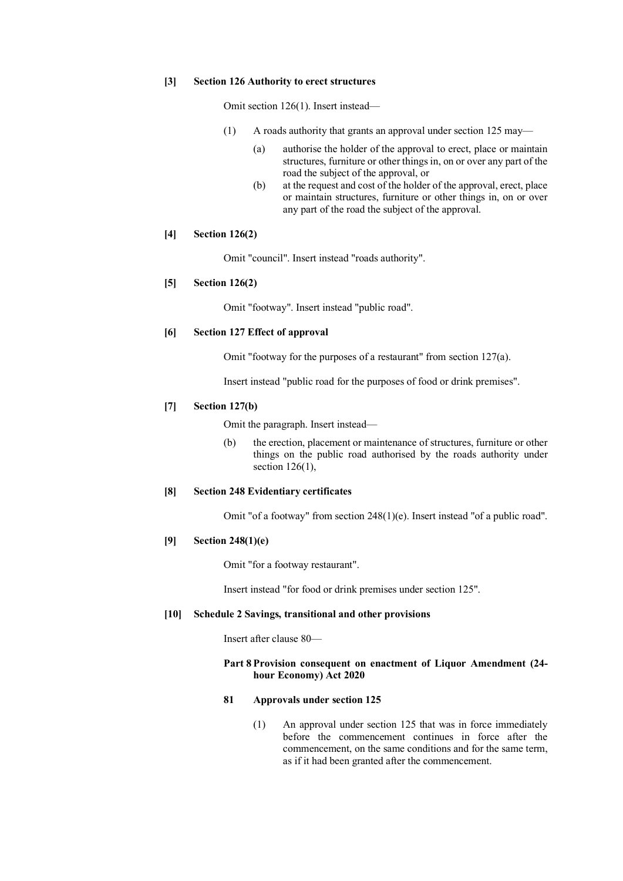#### **[3] Section 126 Authority to erect structures**

Omit section 126(1). Insert instead—

- (1) A roads authority that grants an approval under section 125 may—
	- (a) authorise the holder of the approval to erect, place or maintain structures, furniture or other things in, on or over any part of the road the subject of the approval, or
	- (b) at the request and cost of the holder of the approval, erect, place or maintain structures, furniture or other things in, on or over any part of the road the subject of the approval.

# **[4] Section 126(2)**

Omit "council". Insert instead "roads authority".

# **[5] Section 126(2)**

Omit "footway". Insert instead "public road".

### **[6] Section 127 Effect of approval**

Omit "footway for the purposes of a restaurant" from section 127(a).

Insert instead "public road for the purposes of food or drink premises".

# **[7] Section 127(b)**

Omit the paragraph. Insert instead—

(b) the erection, placement or maintenance of structures, furniture or other things on the public road authorised by the roads authority under section 126(1),

# **[8] Section 248 Evidentiary certificates**

Omit "of a footway" from section 248(1)(e). Insert instead "of a public road".

### **[9] Section 248(1)(e)**

Omit "for a footway restaurant".

Insert instead "for food or drink premises under section 125".

# **[10] Schedule 2 Savings, transitional and other provisions**

Insert after clause 80—

### **Part 8 Provision consequent on enactment of Liquor Amendment (24 hour Economy) Act 2020**

# **81 Approvals under section 125**

(1) An approval under section 125 that was in force immediately before the commencement continues in force after the commencement, on the same conditions and for the same term, as if it had been granted after the commencement.